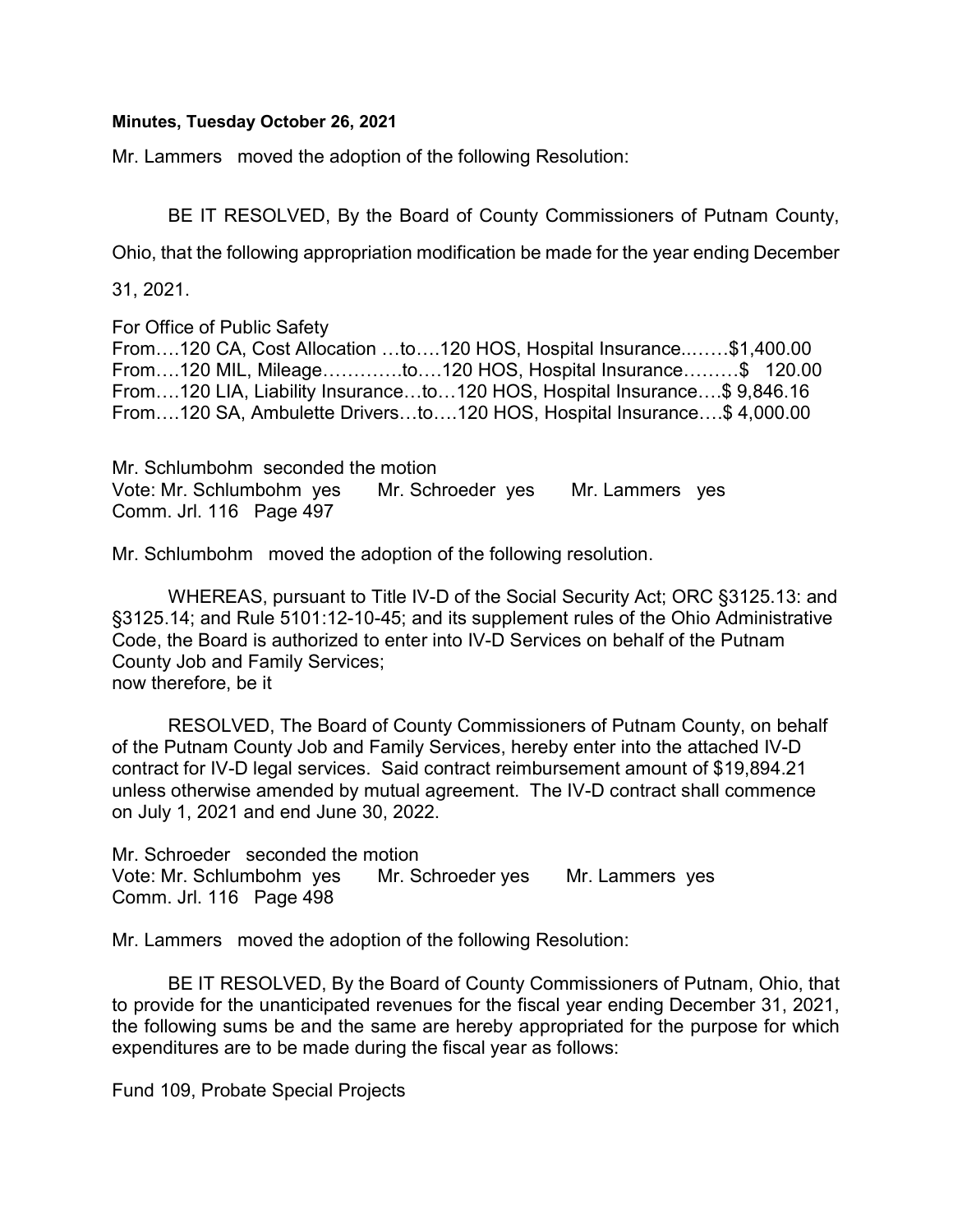## Minutes, Tuesday October 26, 2021

Mr. Lammers moved the adoption of the following Resolution:

BE IT RESOLVED, By the Board of County Commissioners of Putnam County,

Ohio, that the following appropriation modification be made for the year ending December

31, 2021.

For Office of Public Safety

From….120 CA, Cost Allocation …to….120 HOS, Hospital Insurance..……\$1,400.00 From….120 MIL, Mileage………….to….120 HOS, Hospital Insurance………\$ 120.00 From….120 LIA, Liability Insurance…to…120 HOS, Hospital Insurance….\$ 9,846.16 From….120 SA, Ambulette Drivers…to….120 HOS, Hospital Insurance….\$ 4,000.00

Mr. Schlumbohm seconded the motion Vote: Mr. Schlumbohm yes Mr. Schroeder yes Mr. Lammers yes Comm. Jrl. 116 Page 497

Mr. Schlumbohm moved the adoption of the following resolution.

 WHEREAS, pursuant to Title IV-D of the Social Security Act; ORC §3125.13: and §3125.14; and Rule 5101:12-10-45; and its supplement rules of the Ohio Administrative Code, the Board is authorized to enter into IV-D Services on behalf of the Putnam County Job and Family Services; now therefore, be it

 RESOLVED, The Board of County Commissioners of Putnam County, on behalf of the Putnam County Job and Family Services, hereby enter into the attached IV-D contract for IV-D legal services. Said contract reimbursement amount of \$19,894.21 unless otherwise amended by mutual agreement. The IV-D contract shall commence on July 1, 2021 and end June 30, 2022.

Mr. Schroeder seconded the motion Vote: Mr. Schlumbohm yes Mr. Schroeder yes Mr. Lammers yes Comm. Jrl. 116 Page 498

Mr. Lammers moved the adoption of the following Resolution:

 BE IT RESOLVED, By the Board of County Commissioners of Putnam, Ohio, that to provide for the unanticipated revenues for the fiscal year ending December 31, 2021, the following sums be and the same are hereby appropriated for the purpose for which expenditures are to be made during the fiscal year as follows:

Fund 109, Probate Special Projects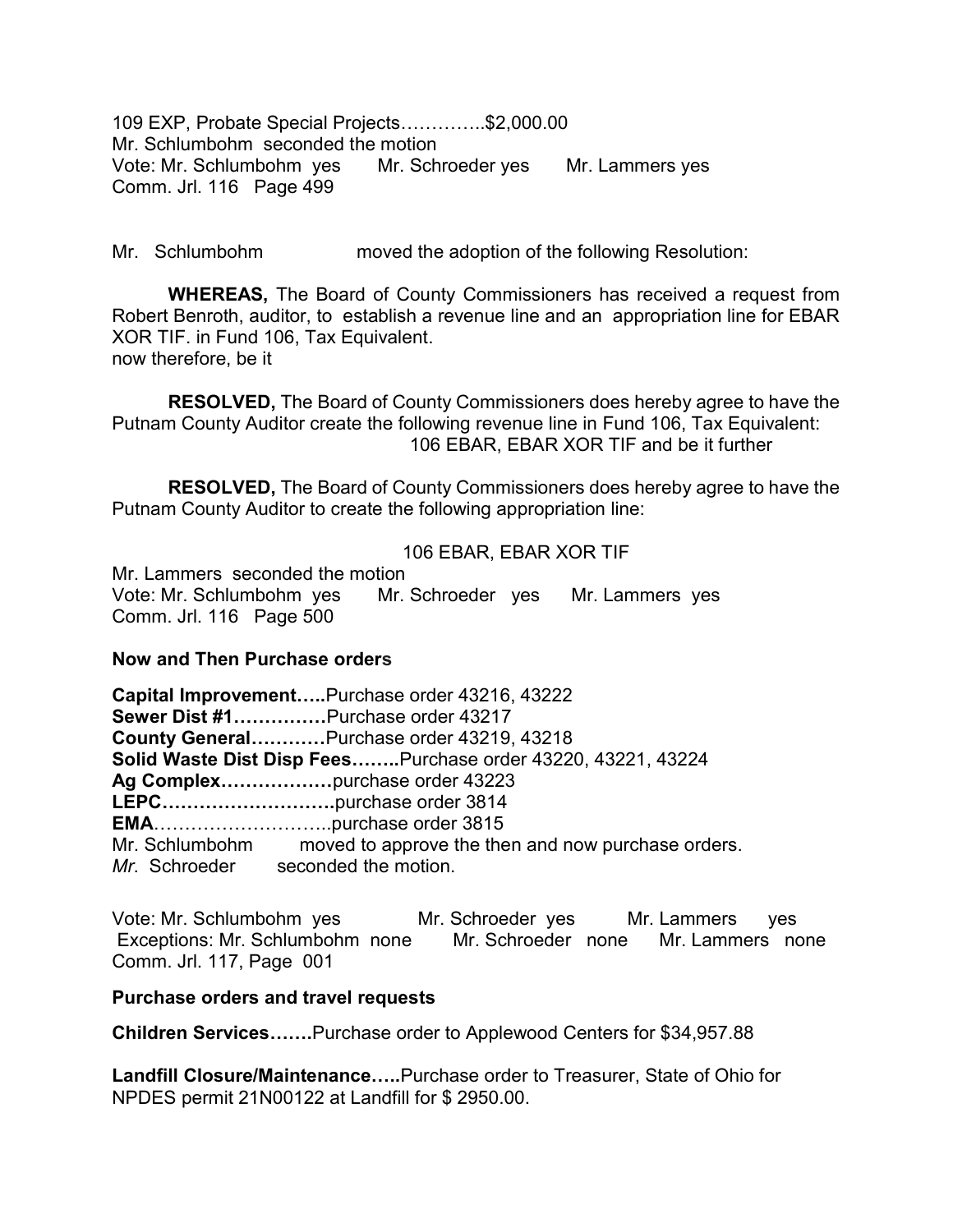109 EXP, Probate Special Projects…………..\$2,000.00 Mr. Schlumbohm seconded the motion Vote: Mr. Schlumbohm yes Mr. Schroeder yes Mr. Lammers yes Comm. Jrl. 116 Page 499

Mr. Schlumbohm moved the adoption of the following Resolution:

WHEREAS, The Board of County Commissioners has received a request from Robert Benroth, auditor, to establish a revenue line and an appropriation line for EBAR XOR TIF. in Fund 106, Tax Equivalent. now therefore, be it

RESOLVED, The Board of County Commissioners does hereby agree to have the Putnam County Auditor create the following revenue line in Fund 106, Tax Equivalent: 106 EBAR, EBAR XOR TIF and be it further

RESOLVED, The Board of County Commissioners does hereby agree to have the Putnam County Auditor to create the following appropriation line:

## 106 EBAR, EBAR XOR TIF

Mr. Lammers seconded the motion Vote: Mr. Schlumbohm yes Mr. Schroeder yes Mr. Lammers yes Comm. Jrl. 116 Page 500

## Now and Then Purchase orders

Capital Improvement…..Purchase order 43216, 43222 Sewer Dist #1……………Purchase order 43217 County General…………Purchase order 43219, 43218 Solid Waste Dist Disp Fees……..Purchase order 43220, 43221, 43224 Ag Complex………………purchase order 43223 LEPC……………………….purchase order 3814 EMA………………………..purchase order 3815 Mr. Schlumbohm moved to approve the then and now purchase orders. Mr. Schroeder seconded the motion.

Vote: Mr. Schlumbohm yes Mr. Schroeder yes Mr. Lammers yes Exceptions: Mr. Schlumbohm none Mr. Schroeder none Mr. Lammers none Comm. Jrl. 117, Page 001

## Purchase orders and travel requests

Children Services…….Purchase order to Applewood Centers for \$34,957.88

Landfill Closure/Maintenance…..Purchase order to Treasurer, State of Ohio for NPDES permit 21N00122 at Landfill for \$ 2950.00.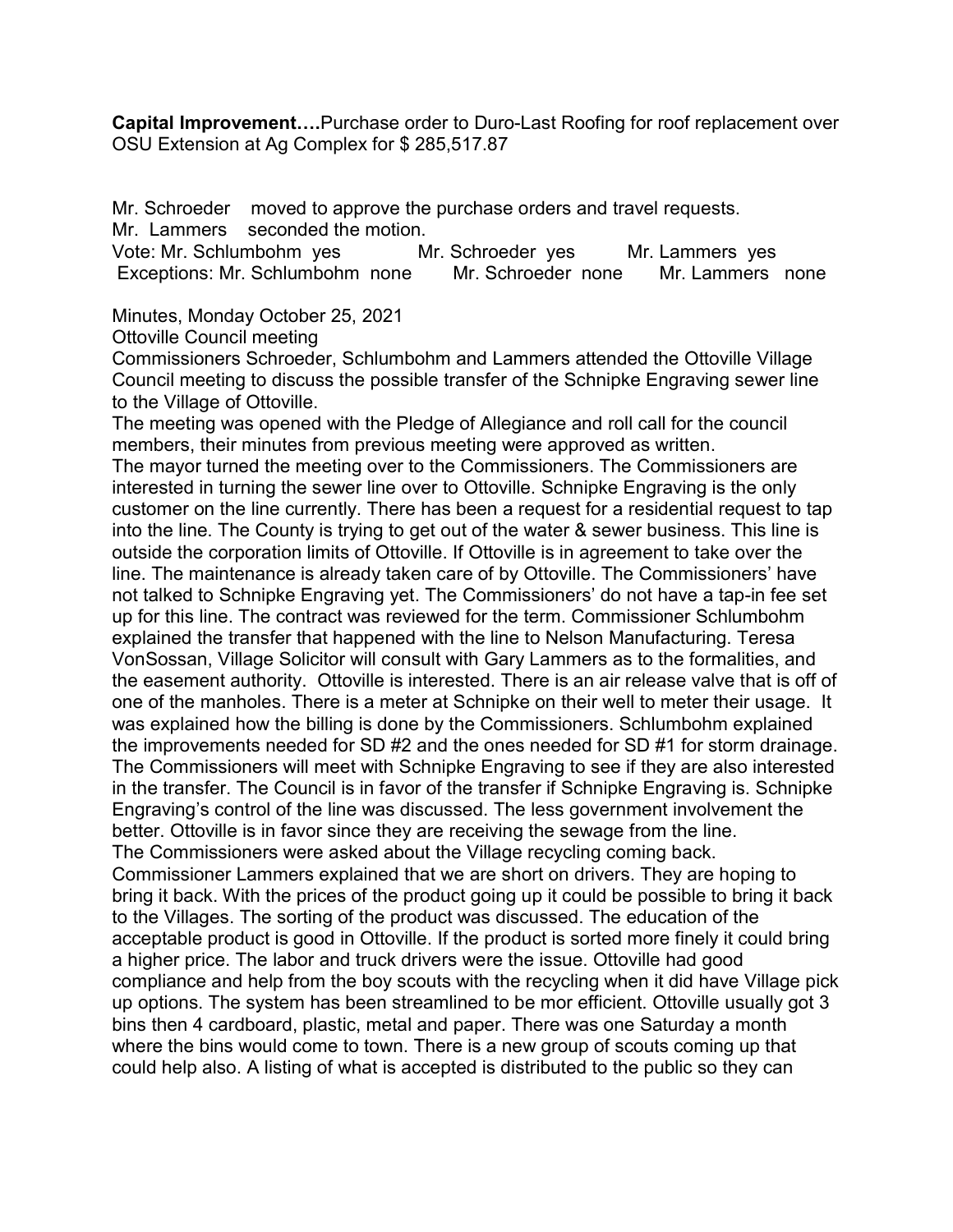**Capital Improvement....**Purchase order to Duro-Last Roofing for roof replacement over OSU Extension at Ag Complex for \$ 285,517.87

Mr. Schroeder moved to approve the purchase orders and travel requests. Mr. Lammers seconded the motion.

Vote: Mr. Schlumbohm yes Mr. Schroeder yes Mr. Lammers yes Exceptions: Mr. Schlumbohm none Mr. Schroeder none Mr. Lammers none

Minutes, Monday October 25, 2021

Ottoville Council meeting

Commissioners Schroeder, Schlumbohm and Lammers attended the Ottoville Village Council meeting to discuss the possible transfer of the Schnipke Engraving sewer line to the Village of Ottoville.

The meeting was opened with the Pledge of Allegiance and roll call for the council members, their minutes from previous meeting were approved as written. The mayor turned the meeting over to the Commissioners. The Commissioners are interested in turning the sewer line over to Ottoville. Schnipke Engraving is the only customer on the line currently. There has been a request for a residential request to tap into the line. The County is trying to get out of the water & sewer business. This line is outside the corporation limits of Ottoville. If Ottoville is in agreement to take over the line. The maintenance is already taken care of by Ottoville. The Commissioners' have not talked to Schnipke Engraving yet. The Commissioners' do not have a tap-in fee set up for this line. The contract was reviewed for the term. Commissioner Schlumbohm explained the transfer that happened with the line to Nelson Manufacturing. Teresa VonSossan, Village Solicitor will consult with Gary Lammers as to the formalities, and the easement authority. Ottoville is interested. There is an air release valve that is off of one of the manholes. There is a meter at Schnipke on their well to meter their usage. It was explained how the billing is done by the Commissioners. Schlumbohm explained the improvements needed for SD #2 and the ones needed for SD #1 for storm drainage. The Commissioners will meet with Schnipke Engraving to see if they are also interested in the transfer. The Council is in favor of the transfer if Schnipke Engraving is. Schnipke Engraving's control of the line was discussed. The less government involvement the better. Ottoville is in favor since they are receiving the sewage from the line. The Commissioners were asked about the Village recycling coming back. Commissioner Lammers explained that we are short on drivers. They are hoping to bring it back. With the prices of the product going up it could be possible to bring it back to the Villages. The sorting of the product was discussed. The education of the acceptable product is good in Ottoville. If the product is sorted more finely it could bring a higher price. The labor and truck drivers were the issue. Ottoville had good compliance and help from the boy scouts with the recycling when it did have Village pick up options. The system has been streamlined to be mor efficient. Ottoville usually got 3 bins then 4 cardboard, plastic, metal and paper. There was one Saturday a month where the bins would come to town. There is a new group of scouts coming up that could help also. A listing of what is accepted is distributed to the public so they can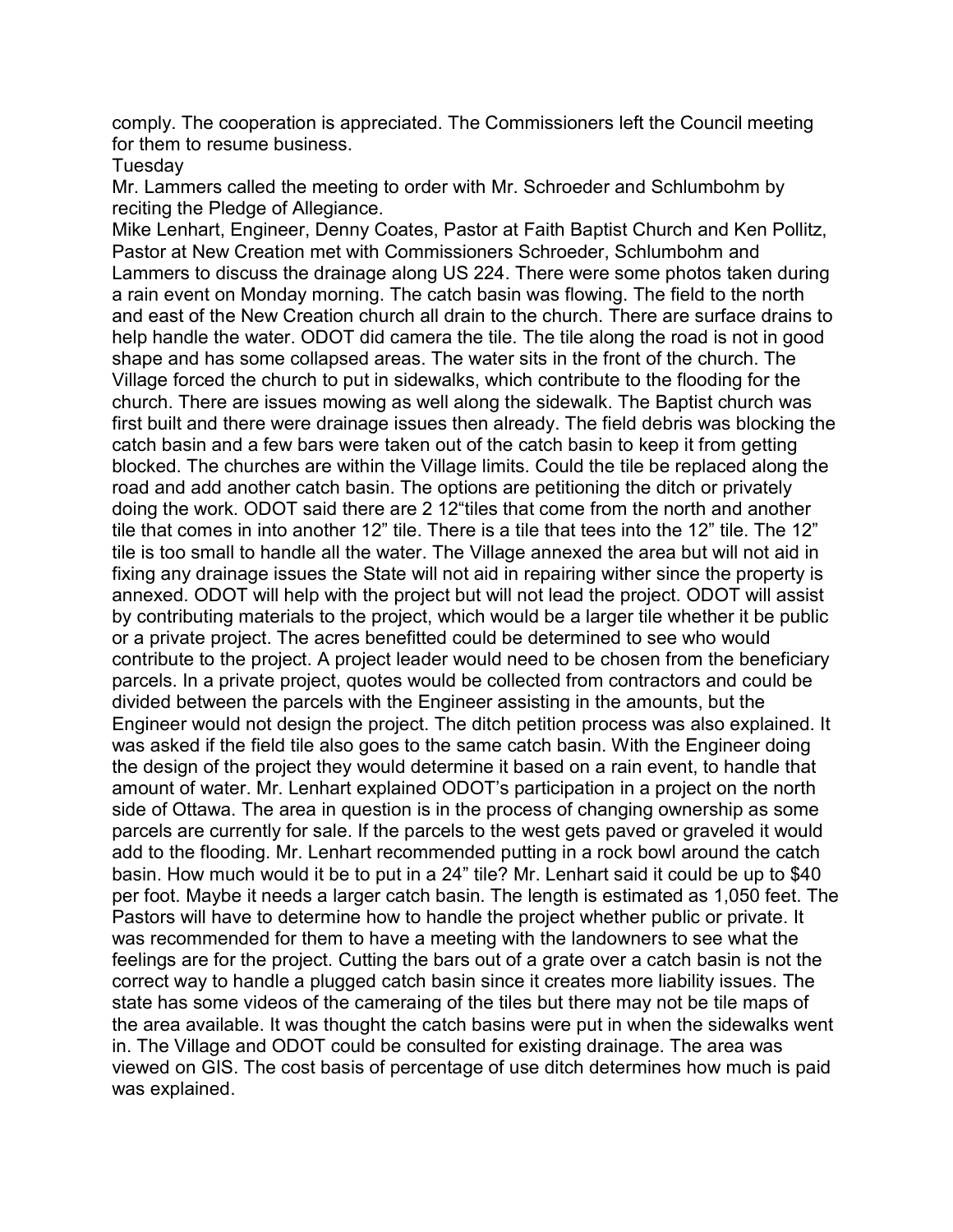comply. The cooperation is appreciated. The Commissioners left the Council meeting for them to resume business.

**Tuesday** 

Mr. Lammers called the meeting to order with Mr. Schroeder and Schlumbohm by reciting the Pledge of Allegiance.

Mike Lenhart, Engineer, Denny Coates, Pastor at Faith Baptist Church and Ken Pollitz, Pastor at New Creation met with Commissioners Schroeder, Schlumbohm and Lammers to discuss the drainage along US 224. There were some photos taken during a rain event on Monday morning. The catch basin was flowing. The field to the north and east of the New Creation church all drain to the church. There are surface drains to help handle the water. ODOT did camera the tile. The tile along the road is not in good shape and has some collapsed areas. The water sits in the front of the church. The Village forced the church to put in sidewalks, which contribute to the flooding for the church. There are issues mowing as well along the sidewalk. The Baptist church was first built and there were drainage issues then already. The field debris was blocking the catch basin and a few bars were taken out of the catch basin to keep it from getting blocked. The churches are within the Village limits. Could the tile be replaced along the road and add another catch basin. The options are petitioning the ditch or privately doing the work. ODOT said there are 2 12"tiles that come from the north and another tile that comes in into another 12" tile. There is a tile that tees into the 12" tile. The 12" tile is too small to handle all the water. The Village annexed the area but will not aid in fixing any drainage issues the State will not aid in repairing wither since the property is annexed. ODOT will help with the project but will not lead the project. ODOT will assist by contributing materials to the project, which would be a larger tile whether it be public or a private project. The acres benefitted could be determined to see who would contribute to the project. A project leader would need to be chosen from the beneficiary parcels. In a private project, quotes would be collected from contractors and could be divided between the parcels with the Engineer assisting in the amounts, but the Engineer would not design the project. The ditch petition process was also explained. It was asked if the field tile also goes to the same catch basin. With the Engineer doing the design of the project they would determine it based on a rain event, to handle that amount of water. Mr. Lenhart explained ODOT's participation in a project on the north side of Ottawa. The area in question is in the process of changing ownership as some parcels are currently for sale. If the parcels to the west gets paved or graveled it would add to the flooding. Mr. Lenhart recommended putting in a rock bowl around the catch basin. How much would it be to put in a 24" tile? Mr. Lenhart said it could be up to \$40 per foot. Maybe it needs a larger catch basin. The length is estimated as 1,050 feet. The Pastors will have to determine how to handle the project whether public or private. It was recommended for them to have a meeting with the landowners to see what the feelings are for the project. Cutting the bars out of a grate over a catch basin is not the correct way to handle a plugged catch basin since it creates more liability issues. The state has some videos of the cameraing of the tiles but there may not be tile maps of the area available. It was thought the catch basins were put in when the sidewalks went in. The Village and ODOT could be consulted for existing drainage. The area was viewed on GIS. The cost basis of percentage of use ditch determines how much is paid was explained.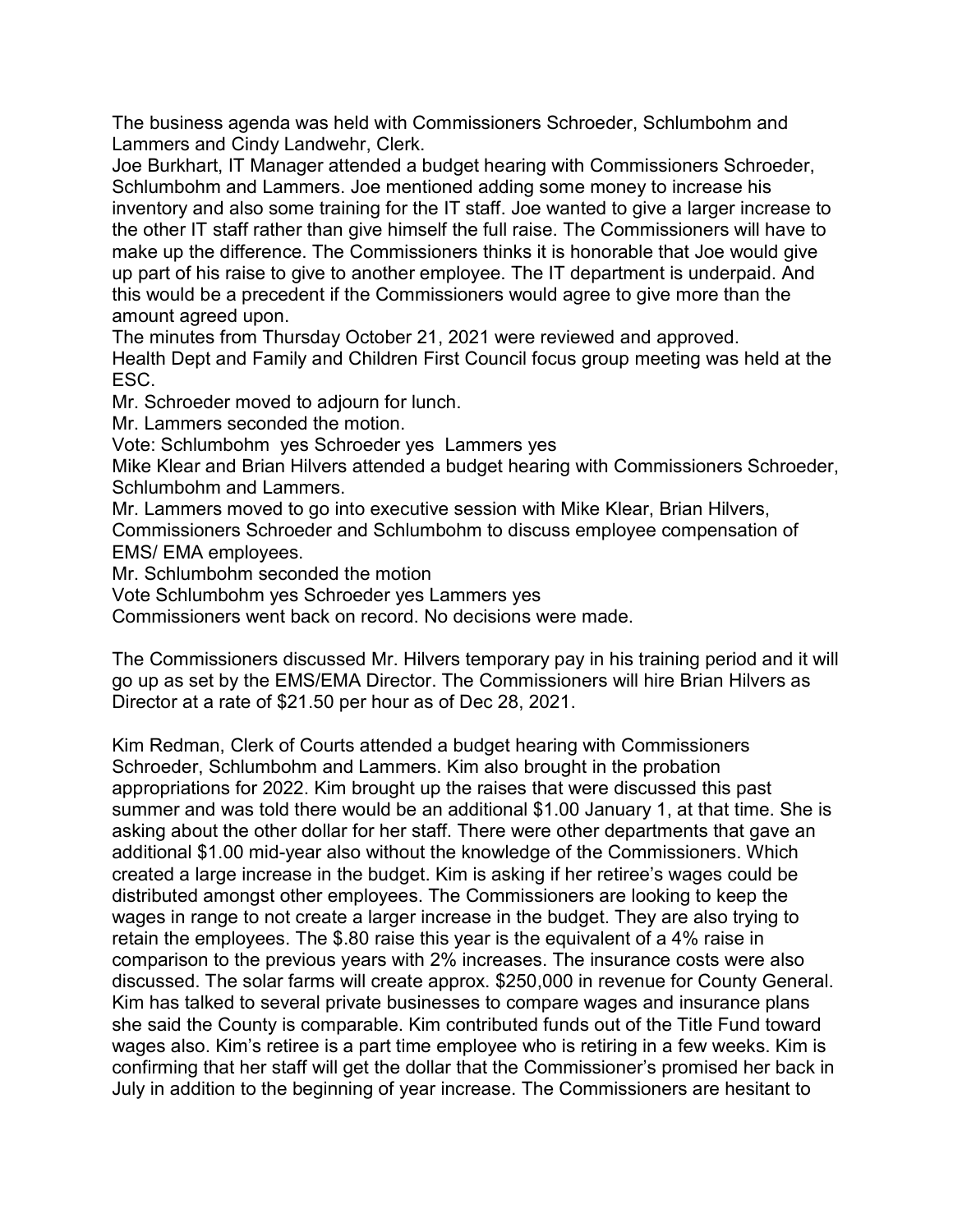The business agenda was held with Commissioners Schroeder, Schlumbohm and Lammers and Cindy Landwehr, Clerk.

Joe Burkhart, IT Manager attended a budget hearing with Commissioners Schroeder, Schlumbohm and Lammers. Joe mentioned adding some money to increase his inventory and also some training for the IT staff. Joe wanted to give a larger increase to the other IT staff rather than give himself the full raise. The Commissioners will have to make up the difference. The Commissioners thinks it is honorable that Joe would give up part of his raise to give to another employee. The IT department is underpaid. And this would be a precedent if the Commissioners would agree to give more than the amount agreed upon.

The minutes from Thursday October 21, 2021 were reviewed and approved. Health Dept and Family and Children First Council focus group meeting was held at the ESC.

Mr. Schroeder moved to adjourn for lunch.

Mr. Lammers seconded the motion.

Vote: Schlumbohm yes Schroeder yes Lammers yes

Mike Klear and Brian Hilvers attended a budget hearing with Commissioners Schroeder, Schlumbohm and Lammers.

Mr. Lammers moved to go into executive session with Mike Klear, Brian Hilvers, Commissioners Schroeder and Schlumbohm to discuss employee compensation of EMS/ EMA employees.

Mr. Schlumbohm seconded the motion

Vote Schlumbohm yes Schroeder yes Lammers yes

Commissioners went back on record. No decisions were made.

The Commissioners discussed Mr. Hilvers temporary pay in his training period and it will go up as set by the EMS/EMA Director. The Commissioners will hire Brian Hilvers as Director at a rate of \$21.50 per hour as of Dec 28, 2021.

Kim Redman, Clerk of Courts attended a budget hearing with Commissioners Schroeder, Schlumbohm and Lammers. Kim also brought in the probation appropriations for 2022. Kim brought up the raises that were discussed this past summer and was told there would be an additional \$1.00 January 1, at that time. She is asking about the other dollar for her staff. There were other departments that gave an additional \$1.00 mid-year also without the knowledge of the Commissioners. Which created a large increase in the budget. Kim is asking if her retiree's wages could be distributed amongst other employees. The Commissioners are looking to keep the wages in range to not create a larger increase in the budget. They are also trying to retain the employees. The \$.80 raise this year is the equivalent of a 4% raise in comparison to the previous years with 2% increases. The insurance costs were also discussed. The solar farms will create approx. \$250,000 in revenue for County General. Kim has talked to several private businesses to compare wages and insurance plans she said the County is comparable. Kim contributed funds out of the Title Fund toward wages also. Kim's retiree is a part time employee who is retiring in a few weeks. Kim is confirming that her staff will get the dollar that the Commissioner's promised her back in July in addition to the beginning of year increase. The Commissioners are hesitant to